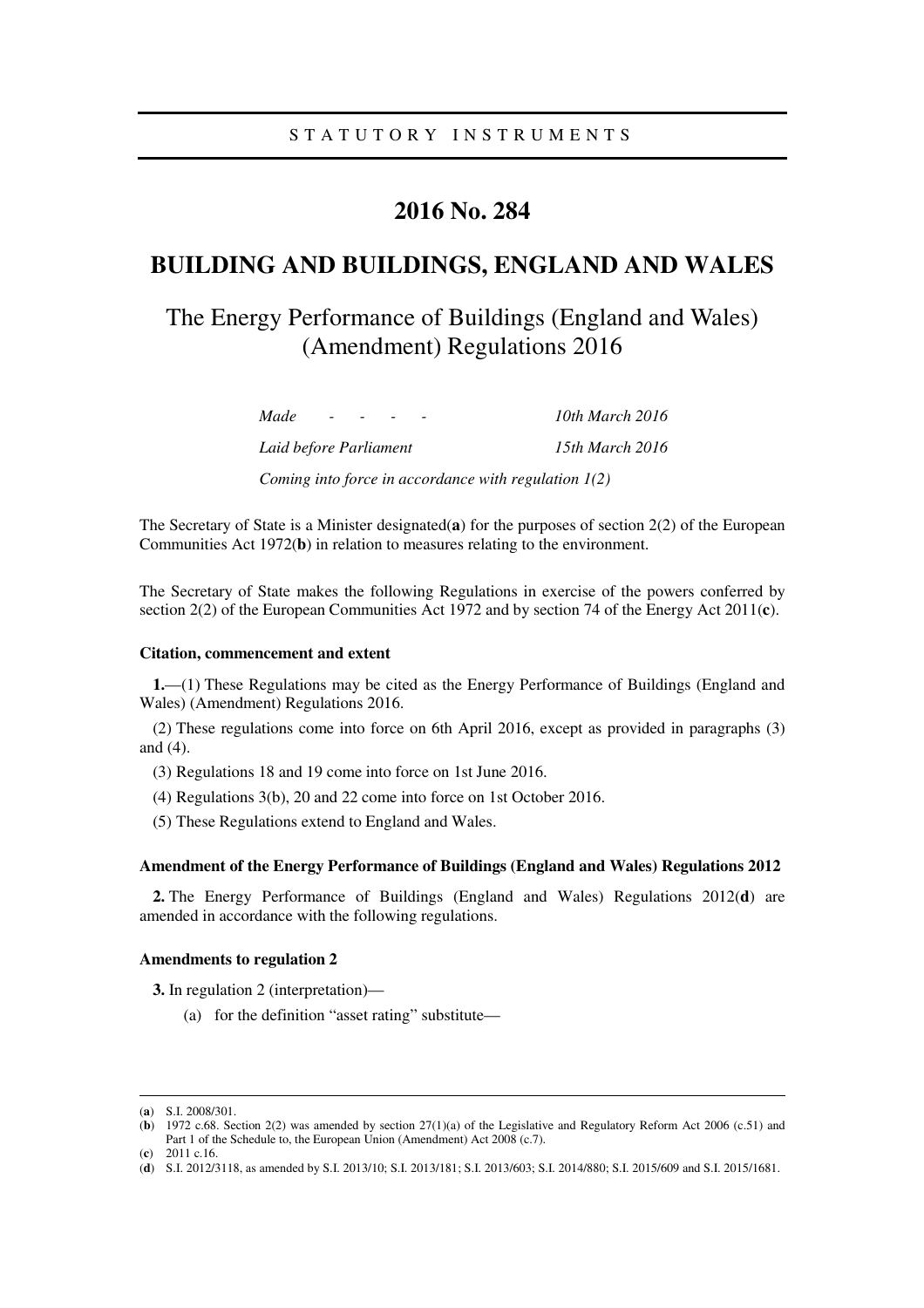# **2016 No. 284**

# **BUILDING AND BUILDINGS, ENGLAND AND WALES**

# The Energy Performance of Buildings (England and Wales) (Amendment) Regulations 2016

| Made<br>$\sim$ $\sim$                                  | 10th March $2016$ |
|--------------------------------------------------------|-------------------|
| Laid before Parliament                                 | 15th March 2016   |
| Coming into force in accordance with regulation $I(2)$ |                   |

The Secretary of State is a Minister designated(**a**) for the purposes of section 2(2) of the European Communities Act 1972(**b**) in relation to measures relating to the environment.

The Secretary of State makes the following Regulations in exercise of the powers conferred by section 2(2) of the European Communities Act 1972 and by section 74 of the Energy Act 2011(**c**).

### **Citation, commencement and extent**

**1.**—(1) These Regulations may be cited as the Energy Performance of Buildings (England and Wales) (Amendment) Regulations 2016.

(2) These regulations come into force on 6th April 2016, except as provided in paragraphs (3) and (4).

- (3) Regulations 18 and 19 come into force on 1st June 2016.
- (4) Regulations 3(b), 20 and 22 come into force on 1st October 2016.
- (5) These Regulations extend to England and Wales.

#### **Amendment of the Energy Performance of Buildings (England and Wales) Regulations 2012**

**2.** The Energy Performance of Buildings (England and Wales) Regulations 2012(**d**) are amended in accordance with the following regulations.

#### **Amendments to regulation 2**

**3.** In regulation 2 (interpretation)—

(a) for the definition "asset rating" substitute—

<u>.</u>

<sup>(</sup>**a**) S.I. 2008/301.

<sup>(</sup>**b**) 1972 c.68. Section 2(2) was amended by section 27(1)(a) of the Legislative and Regulatory Reform Act 2006 (c.51) and Part 1 of the Schedule to, the European Union (Amendment) Act 2008 (c.7).

<sup>(</sup>**c**) 2011 c.16.

<sup>(</sup>**d**) S.I. 2012/3118, as amended by S.I. 2013/10; S.I. 2013/181; S.I. 2013/603; S.I. 2014/880; S.I. 2015/609 and S.I. 2015/1681.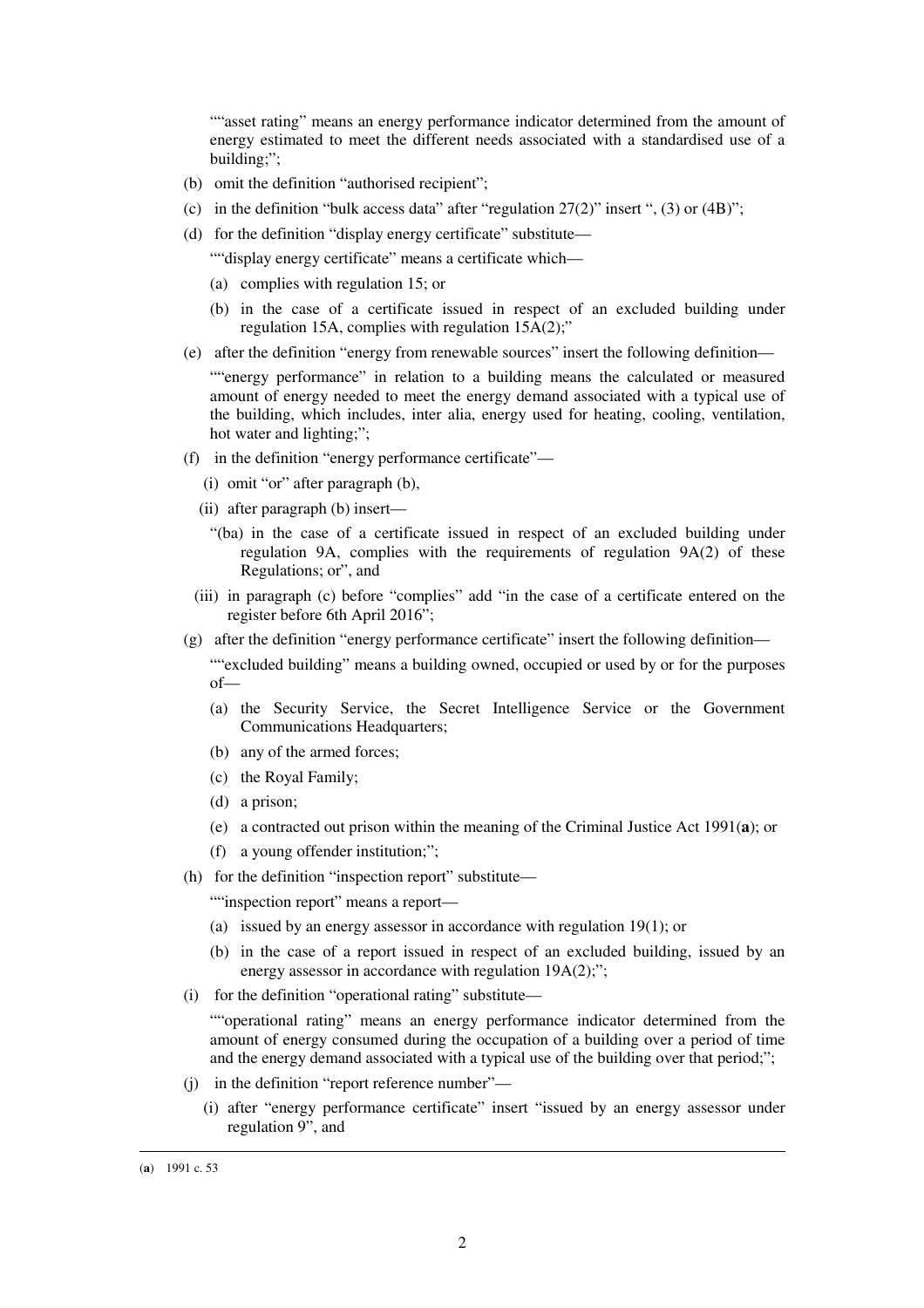""asset rating" means an energy performance indicator determined from the amount of energy estimated to meet the different needs associated with a standardised use of a building;";

- (b) omit the definition "authorised recipient";
- (c) in the definition "bulk access data" after "regulation  $27(2)$ " insert ", (3) or (4B)";
- (d) for the definition "display energy certificate" substitute—

""display energy certificate" means a certificate which—

- (a) complies with regulation 15; or
- (b) in the case of a certificate issued in respect of an excluded building under regulation 15A, complies with regulation 15A(2);"
- (e) after the definition "energy from renewable sources" insert the following definition—

""energy performance" in relation to a building means the calculated or measured amount of energy needed to meet the energy demand associated with a typical use of the building, which includes, inter alia, energy used for heating, cooling, ventilation, hot water and lighting;";

- (f) in the definition "energy performance certificate"—
	- (i) omit "or" after paragraph (b),
	- (ii) after paragraph (b) insert—
		- "(ba) in the case of a certificate issued in respect of an excluded building under regulation 9A, complies with the requirements of regulation 9A(2) of these Regulations; or", and
	- (iii) in paragraph (c) before "complies" add "in the case of a certificate entered on the register before 6th April 2016";
- (g) after the definition "energy performance certificate" insert the following definition—

""excluded building" means a building owned, occupied or used by or for the purposes of—

- (a) the Security Service, the Secret Intelligence Service or the Government Communications Headquarters;
- (b) any of the armed forces;
- (c) the Royal Family;
- (d) a prison;
- (e) a contracted out prison within the meaning of the Criminal Justice Act 1991(**a**); or
- (f) a young offender institution;";
- (h) for the definition "inspection report" substitute—

""inspection report" means a report-

- (a) issued by an energy assessor in accordance with regulation 19(1); or
- (b) in the case of a report issued in respect of an excluded building, issued by an energy assessor in accordance with regulation 19A(2);";
- (i) for the definition "operational rating" substitute—

""operational rating" means an energy performance indicator determined from the amount of energy consumed during the occupation of a building over a period of time and the energy demand associated with a typical use of the building over that period;";

- (j) in the definition "report reference number"—
	- (i) after "energy performance certificate" insert "issued by an energy assessor under regulation 9", and

<u>.</u>

<sup>(</sup>**a**) 1991 c. 53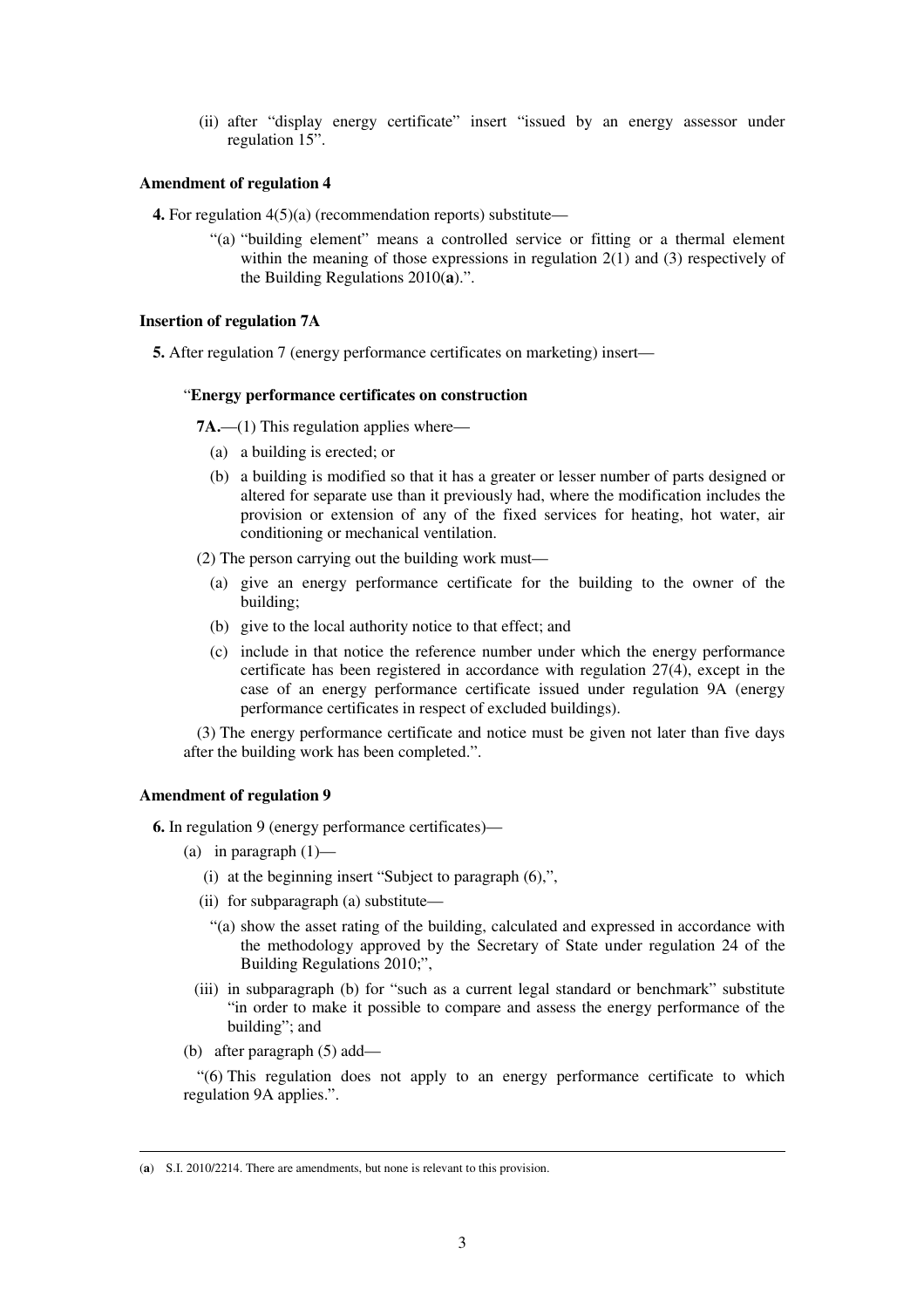(ii) after "display energy certificate" insert "issued by an energy assessor under regulation 15".

### **Amendment of regulation 4**

- **4.** For regulation 4(5)(a) (recommendation reports) substitute—
	- "(a) "building element" means a controlled service or fitting or a thermal element within the meaning of those expressions in regulation  $2(1)$  and  $(3)$  respectively of the Building Regulations 2010(**a**).".

## **Insertion of regulation 7A**

**5.** After regulation 7 (energy performance certificates on marketing) insert—

#### "**Energy performance certificates on construction**

**7A.**—(1) This regulation applies where—

- (a) a building is erected; or
- (b) a building is modified so that it has a greater or lesser number of parts designed or altered for separate use than it previously had, where the modification includes the provision or extension of any of the fixed services for heating, hot water, air conditioning or mechanical ventilation.

(2) The person carrying out the building work must—

- (a) give an energy performance certificate for the building to the owner of the building;
- (b) give to the local authority notice to that effect; and
- (c) include in that notice the reference number under which the energy performance certificate has been registered in accordance with regulation 27(4), except in the case of an energy performance certificate issued under regulation 9A (energy performance certificates in respect of excluded buildings).

(3) The energy performance certificate and notice must be given not later than five days after the building work has been completed.".

## **Amendment of regulation 9**

**6.** In regulation 9 (energy performance certificates)—

- (a) in paragraph (1)—
	- (i) at the beginning insert "Subject to paragraph (6),",
	- (ii) for subparagraph (a) substitute—
		- "(a) show the asset rating of the building, calculated and expressed in accordance with the methodology approved by the Secretary of State under regulation 24 of the Building Regulations 2010;",
	- (iii) in subparagraph (b) for "such as a current legal standard or benchmark" substitute "in order to make it possible to compare and assess the energy performance of the building"; and
- (b) after paragraph (5) add—

<u>.</u>

"(6) This regulation does not apply to an energy performance certificate to which regulation 9A applies.".

<sup>(</sup>**a**) S.I. 2010/2214. There are amendments, but none is relevant to this provision.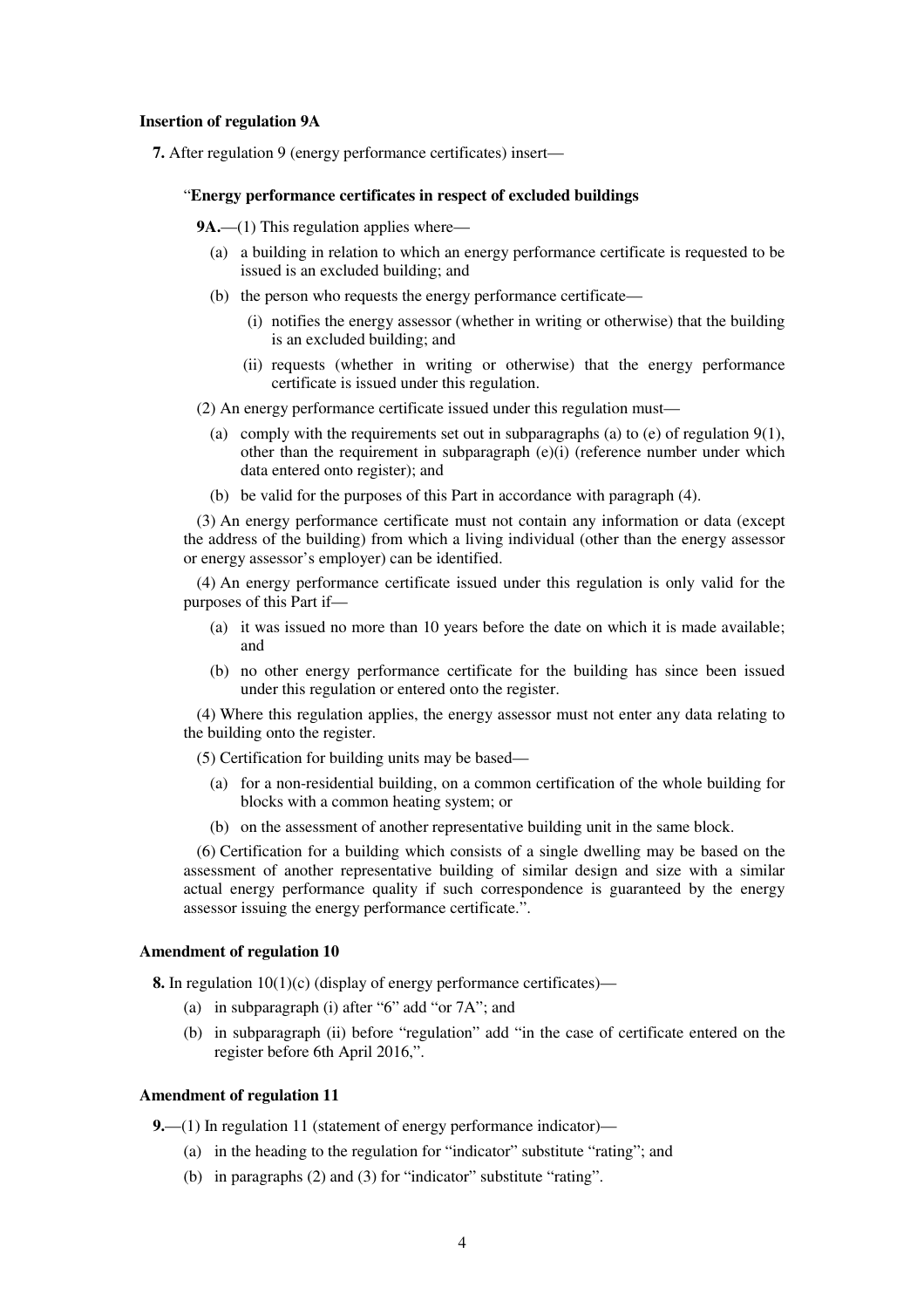#### **Insertion of regulation 9A**

**7.** After regulation 9 (energy performance certificates) insert—

#### "**Energy performance certificates in respect of excluded buildings**

**9A.**—(1) This regulation applies where—

- (a) a building in relation to which an energy performance certificate is requested to be issued is an excluded building; and
- (b) the person who requests the energy performance certificate—
	- (i) notifies the energy assessor (whether in writing or otherwise) that the building is an excluded building; and
	- (ii) requests (whether in writing or otherwise) that the energy performance certificate is issued under this regulation.
- (2) An energy performance certificate issued under this regulation must—
	- (a) comply with the requirements set out in subparagraphs (a) to (e) of regulation  $9(1)$ , other than the requirement in subparagraph (e)(i) (reference number under which data entered onto register); and
	- (b) be valid for the purposes of this Part in accordance with paragraph (4).

(3) An energy performance certificate must not contain any information or data (except the address of the building) from which a living individual (other than the energy assessor or energy assessor's employer) can be identified.

(4) An energy performance certificate issued under this regulation is only valid for the purposes of this Part if—

- (a) it was issued no more than 10 years before the date on which it is made available; and
- (b) no other energy performance certificate for the building has since been issued under this regulation or entered onto the register.

(4) Where this regulation applies, the energy assessor must not enter any data relating to the building onto the register.

(5) Certification for building units may be based—

- (a) for a non-residential building, on a common certification of the whole building for blocks with a common heating system; or
- (b) on the assessment of another representative building unit in the same block.

(6) Certification for a building which consists of a single dwelling may be based on the assessment of another representative building of similar design and size with a similar actual energy performance quality if such correspondence is guaranteed by the energy assessor issuing the energy performance certificate.".

#### **Amendment of regulation 10**

**8.** In regulation 10(1)(c) (display of energy performance certificates)—

- (a) in subparagraph (i) after "6" add "or 7A"; and
- (b) in subparagraph (ii) before "regulation" add "in the case of certificate entered on the register before 6th April 2016,".

## **Amendment of regulation 11**

**9.**—(1) In regulation 11 (statement of energy performance indicator)—

- (a) in the heading to the regulation for "indicator" substitute "rating"; and
- (b) in paragraphs (2) and (3) for "indicator" substitute "rating".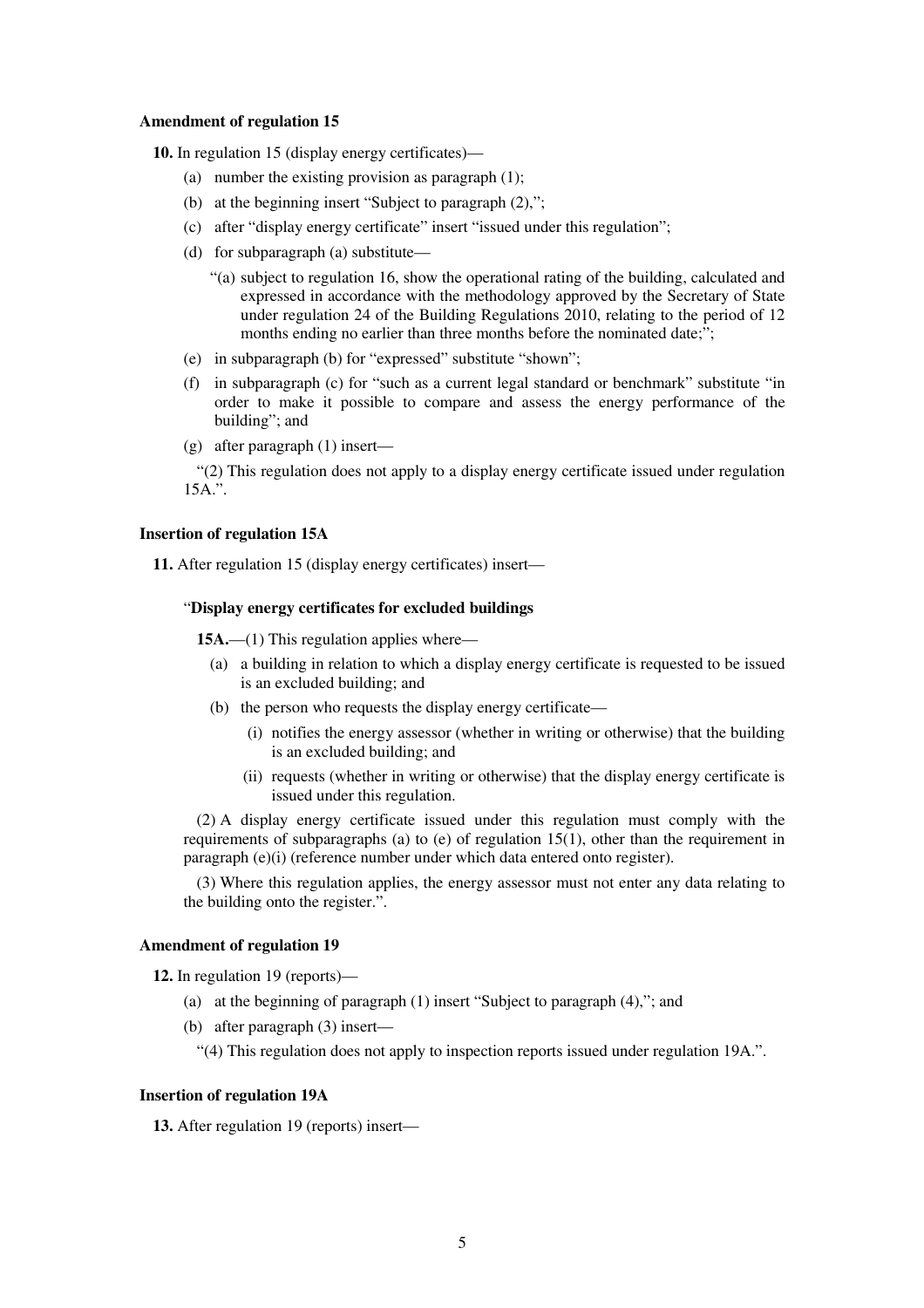#### **Amendment of regulation 15**

**10.** In regulation 15 (display energy certificates)—

- (a) number the existing provision as paragraph (1);
- (b) at the beginning insert "Subject to paragraph (2),";
- (c) after "display energy certificate" insert "issued under this regulation";
- (d) for subparagraph (a) substitute—
	- "(a) subject to regulation 16, show the operational rating of the building, calculated and expressed in accordance with the methodology approved by the Secretary of State under regulation 24 of the Building Regulations 2010, relating to the period of 12 months ending no earlier than three months before the nominated date;";
- (e) in subparagraph (b) for "expressed" substitute "shown";
- (f) in subparagraph (c) for "such as a current legal standard or benchmark" substitute "in order to make it possible to compare and assess the energy performance of the building"; and
- (g) after paragraph (1) insert—

"(2) This regulation does not apply to a display energy certificate issued under regulation 15A.".

## **Insertion of regulation 15A**

**11.** After regulation 15 (display energy certificates) insert—

#### "**Display energy certificates for excluded buildings**

**15A.—(1)** This regulation applies where—

- (a) a building in relation to which a display energy certificate is requested to be issued is an excluded building; and
- (b) the person who requests the display energy certificate—
	- (i) notifies the energy assessor (whether in writing or otherwise) that the building is an excluded building; and
	- (ii) requests (whether in writing or otherwise) that the display energy certificate is issued under this regulation.

(2) A display energy certificate issued under this regulation must comply with the requirements of subparagraphs (a) to (e) of regulation 15(1), other than the requirement in paragraph (e)(i) (reference number under which data entered onto register).

(3) Where this regulation applies, the energy assessor must not enter any data relating to the building onto the register.".

#### **Amendment of regulation 19**

**12.** In regulation 19 (reports)—

- (a) at the beginning of paragraph (1) insert "Subject to paragraph (4),"; and
- (b) after paragraph (3) insert—
	- "(4) This regulation does not apply to inspection reports issued under regulation 19A.".

## **Insertion of regulation 19A**

**13.** After regulation 19 (reports) insert—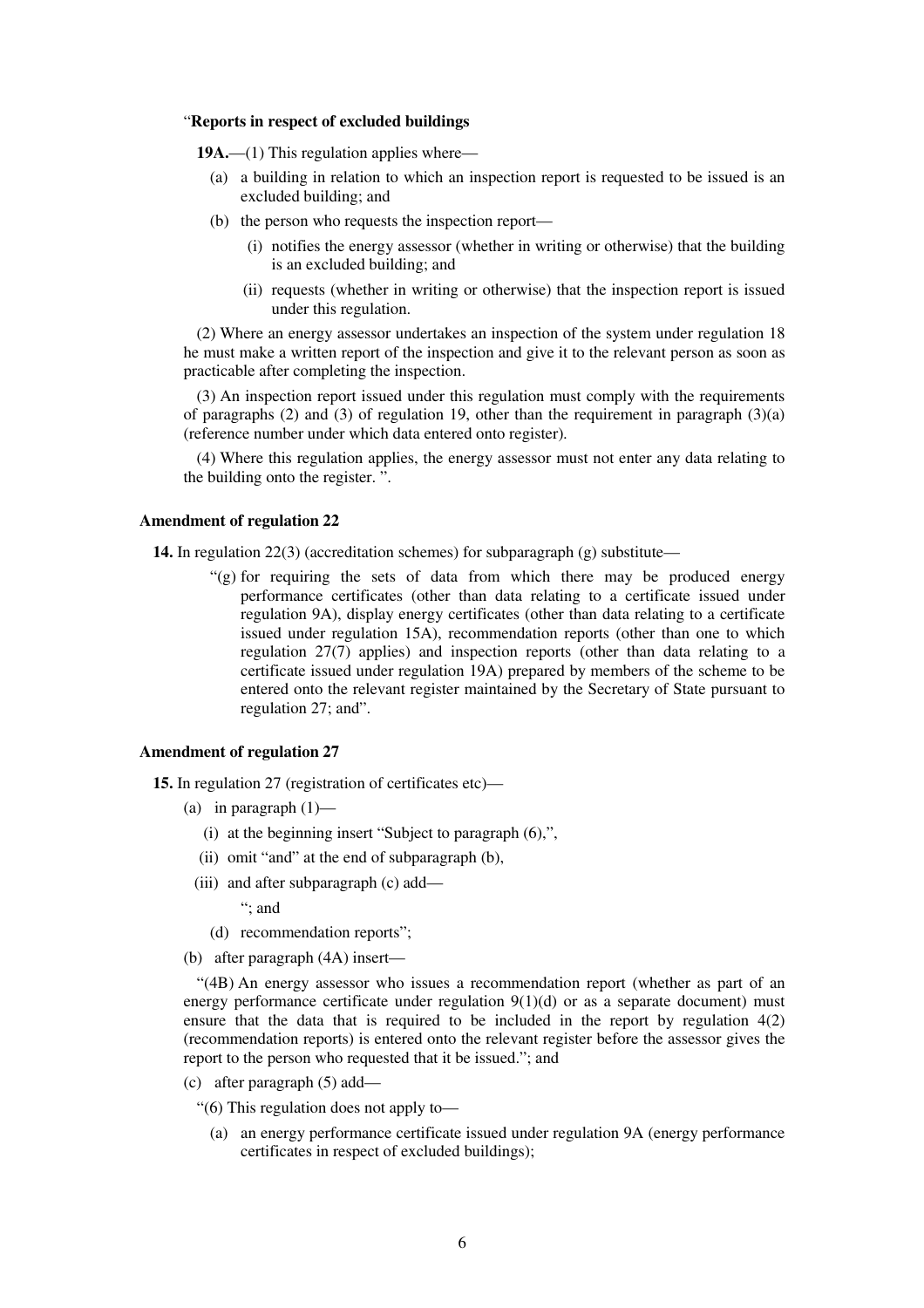#### "**Reports in respect of excluded buildings**

19A.—(1) This regulation applies where—

- (a) a building in relation to which an inspection report is requested to be issued is an excluded building; and
- (b) the person who requests the inspection report—
	- (i) notifies the energy assessor (whether in writing or otherwise) that the building is an excluded building; and
	- (ii) requests (whether in writing or otherwise) that the inspection report is issued under this regulation.

(2) Where an energy assessor undertakes an inspection of the system under regulation 18 he must make a written report of the inspection and give it to the relevant person as soon as practicable after completing the inspection.

(3) An inspection report issued under this regulation must comply with the requirements of paragraphs (2) and (3) of regulation 19, other than the requirement in paragraph (3)(a) (reference number under which data entered onto register).

(4) Where this regulation applies, the energy assessor must not enter any data relating to the building onto the register. ".

## **Amendment of regulation 22**

**14.** In regulation 22(3) (accreditation schemes) for subparagraph (g) substitute—

 $(g)$  for requiring the sets of data from which there may be produced energy performance certificates (other than data relating to a certificate issued under regulation 9A), display energy certificates (other than data relating to a certificate issued under regulation 15A), recommendation reports (other than one to which regulation 27(7) applies) and inspection reports (other than data relating to a certificate issued under regulation 19A) prepared by members of the scheme to be entered onto the relevant register maintained by the Secretary of State pursuant to regulation 27; and".

#### **Amendment of regulation 27**

**15.** In regulation 27 (registration of certificates etc)—

- (a) in paragraph  $(1)$ 
	- (i) at the beginning insert "Subject to paragraph (6),",
	- (ii) omit "and" at the end of subparagraph (b),
	- (iii) and after subparagraph (c) add—

"; and

- (d) recommendation reports";
- (b) after paragraph (4A) insert—

"(4B) An energy assessor who issues a recommendation report (whether as part of an energy performance certificate under regulation  $9(1)(d)$  or as a separate document) must ensure that the data that is required to be included in the report by regulation  $4(2)$ (recommendation reports) is entered onto the relevant register before the assessor gives the report to the person who requested that it be issued."; and

(c) after paragraph (5) add—

"(6) This regulation does not apply to—

(a) an energy performance certificate issued under regulation 9A (energy performance certificates in respect of excluded buildings);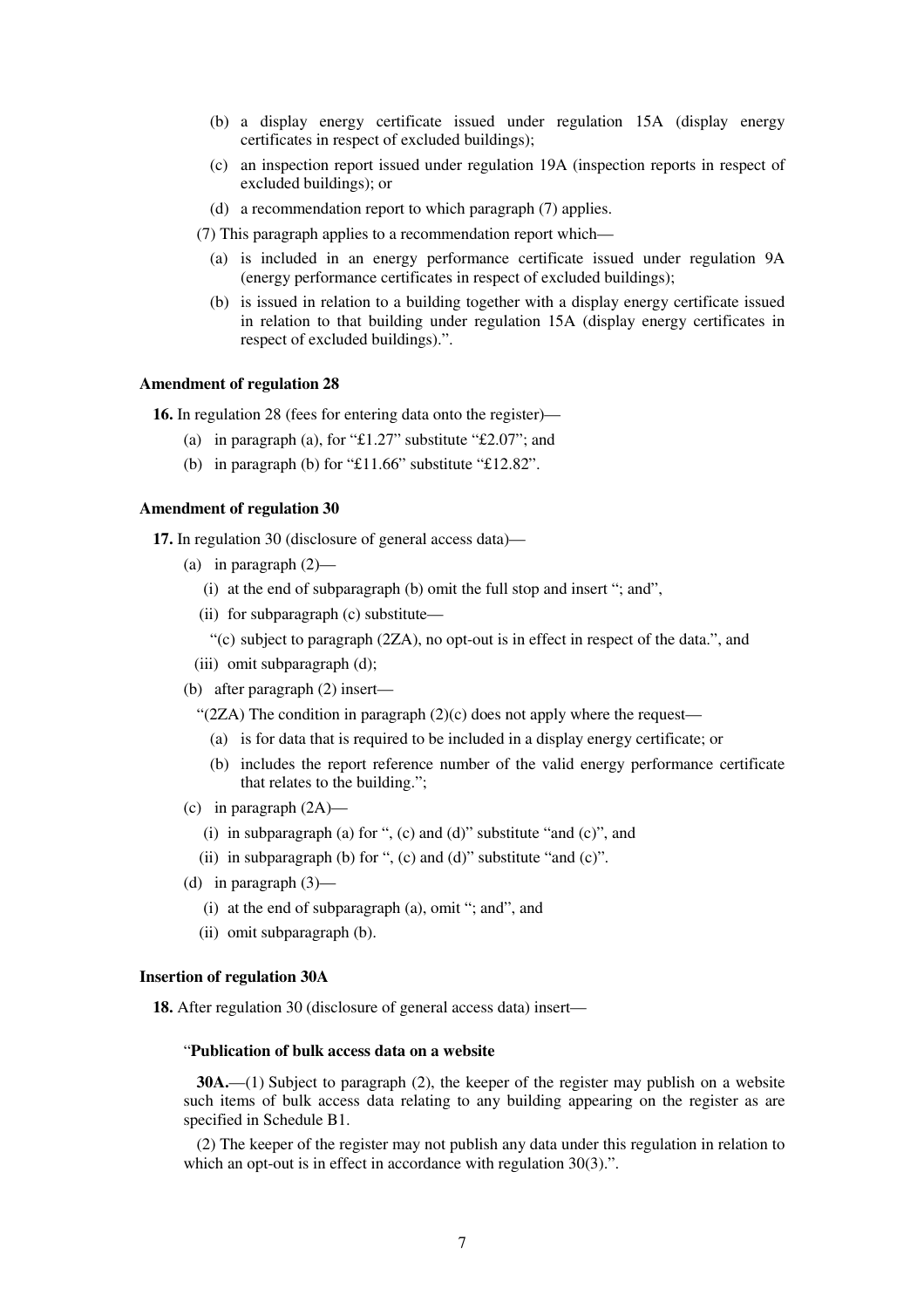- (b) a display energy certificate issued under regulation 15A (display energy certificates in respect of excluded buildings);
- (c) an inspection report issued under regulation 19A (inspection reports in respect of excluded buildings); or
- (d) a recommendation report to which paragraph (7) applies.
- (7) This paragraph applies to a recommendation report which—
	- (a) is included in an energy performance certificate issued under regulation 9A (energy performance certificates in respect of excluded buildings);
	- (b) is issued in relation to a building together with a display energy certificate issued in relation to that building under regulation 15A (display energy certificates in respect of excluded buildings).".

#### **Amendment of regulation 28**

**16.** In regulation 28 (fees for entering data onto the register)—

- (a) in paragraph (a), for "£1.27" substitute "£2.07"; and
- (b) in paragraph (b) for "£11.66" substitute " $£12.82"$ .

## **Amendment of regulation 30**

**17.** In regulation 30 (disclosure of general access data)—

- (a) in paragraph (2)—
	- (i) at the end of subparagraph (b) omit the full stop and insert "; and",
	- (ii) for subparagraph (c) substitute—
		- "(c) subject to paragraph (2ZA), no opt-out is in effect in respect of the data.", and
	- (iii) omit subparagraph (d);
- (b) after paragraph (2) insert—

" $(2ZA)$  The condition in paragraph  $(2)(c)$  does not apply where the request—

- (a) is for data that is required to be included in a display energy certificate; or
- (b) includes the report reference number of the valid energy performance certificate that relates to the building.";
- (c) in paragraph  $(2A)$ 
	- (i) in subparagraph (a) for ", (c) and (d)" substitute "and (c)", and
	- (ii) in subparagraph (b) for ",  $(c)$  and  $(d)$ " substitute "and  $(c)$ ".
- (d) in paragraph  $(3)$ 
	- (i) at the end of subparagraph (a), omit "; and", and
	- (ii) omit subparagraph (b).

### **Insertion of regulation 30A**

**18.** After regulation 30 (disclosure of general access data) insert—

#### "**Publication of bulk access data on a website**

**30A.**—(1) Subject to paragraph (2), the keeper of the register may publish on a website such items of bulk access data relating to any building appearing on the register as are specified in Schedule B1.

(2) The keeper of the register may not publish any data under this regulation in relation to which an opt-out is in effect in accordance with regulation 30(3).".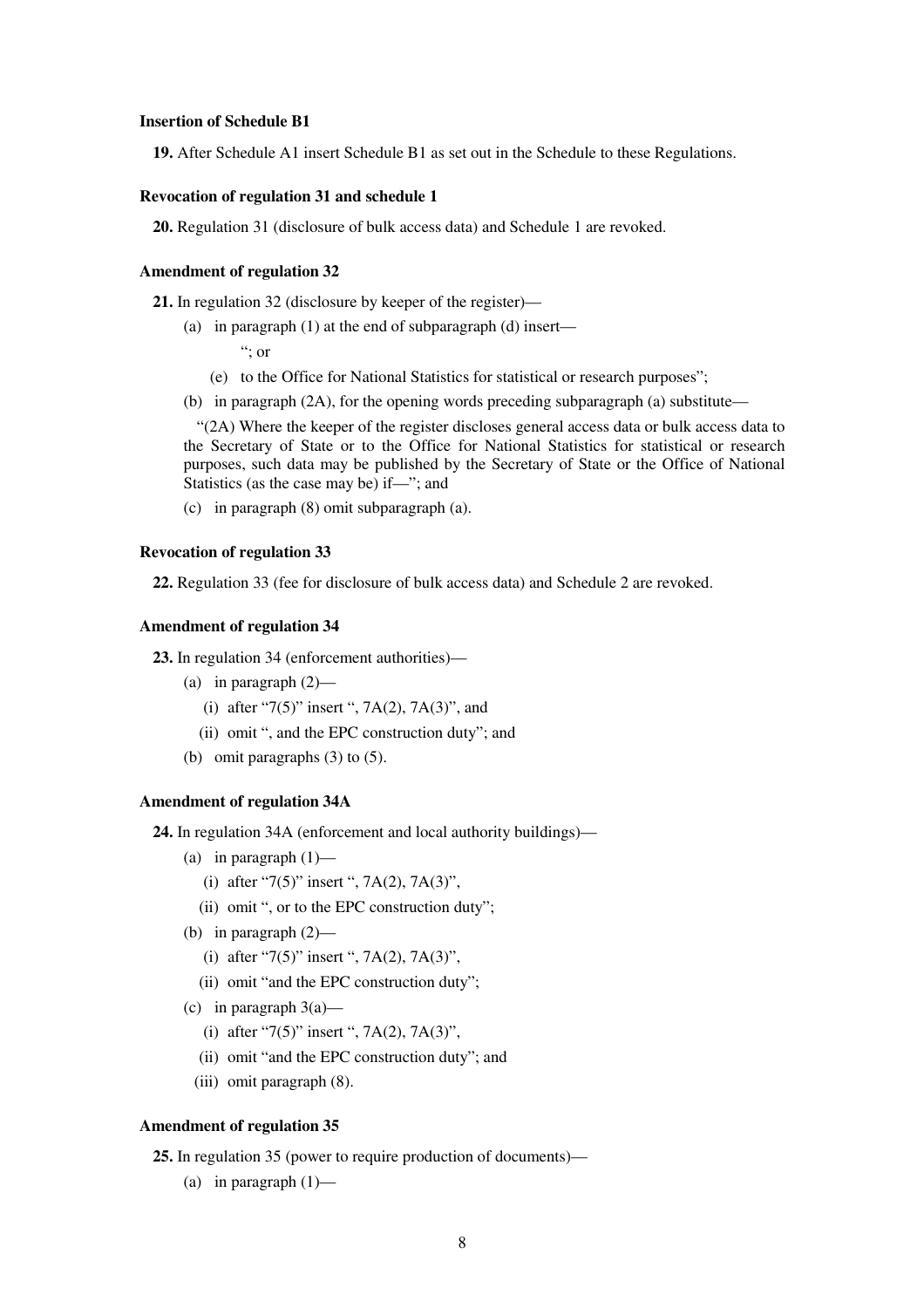#### **Insertion of Schedule B1**

**19.** After Schedule A1 insert Schedule B1 as set out in the Schedule to these Regulations.

#### **Revocation of regulation 31 and schedule 1**

**20.** Regulation 31 (disclosure of bulk access data) and Schedule 1 are revoked.

#### **Amendment of regulation 32**

**21.** In regulation 32 (disclosure by keeper of the register)—

(a) in paragraph (1) at the end of subparagraph (d) insert—

"; or

- (e) to the Office for National Statistics for statistical or research purposes";
- (b) in paragraph (2A), for the opening words preceding subparagraph (a) substitute—

"(2A) Where the keeper of the register discloses general access data or bulk access data to the Secretary of State or to the Office for National Statistics for statistical or research purposes, such data may be published by the Secretary of State or the Office of National Statistics (as the case may be) if—"; and

(c) in paragraph (8) omit subparagraph (a).

## **Revocation of regulation 33**

**22.** Regulation 33 (fee for disclosure of bulk access data) and Schedule 2 are revoked.

#### **Amendment of regulation 34**

**23.** In regulation 34 (enforcement authorities)—

- (a) in paragraph (2)—
	- (i) after "7(5)" insert ", 7A(2), 7A(3)", and
	- (ii) omit ", and the EPC construction duty"; and
- (b) omit paragraphs (3) to (5).

#### **Amendment of regulation 34A**

**24.** In regulation 34A (enforcement and local authority buildings)—

- (a) in paragraph  $(1)$ 
	- (i) after "7(5)" insert ", 7A(2), 7A(3)",
	- (ii) omit ", or to the EPC construction duty";
- (b) in paragraph (2)—
	- (i) after "7(5)" insert ", 7A(2), 7A(3)",
	- (ii) omit "and the EPC construction duty";
- (c) in paragraph  $3(a)$ 
	- (i) after "7(5)" insert ", 7A(2), 7A(3)",
	- (ii) omit "and the EPC construction duty"; and
	- (iii) omit paragraph (8).

## **Amendment of regulation 35**

**25.** In regulation 35 (power to require production of documents)—

(a) in paragraph  $(1)$ —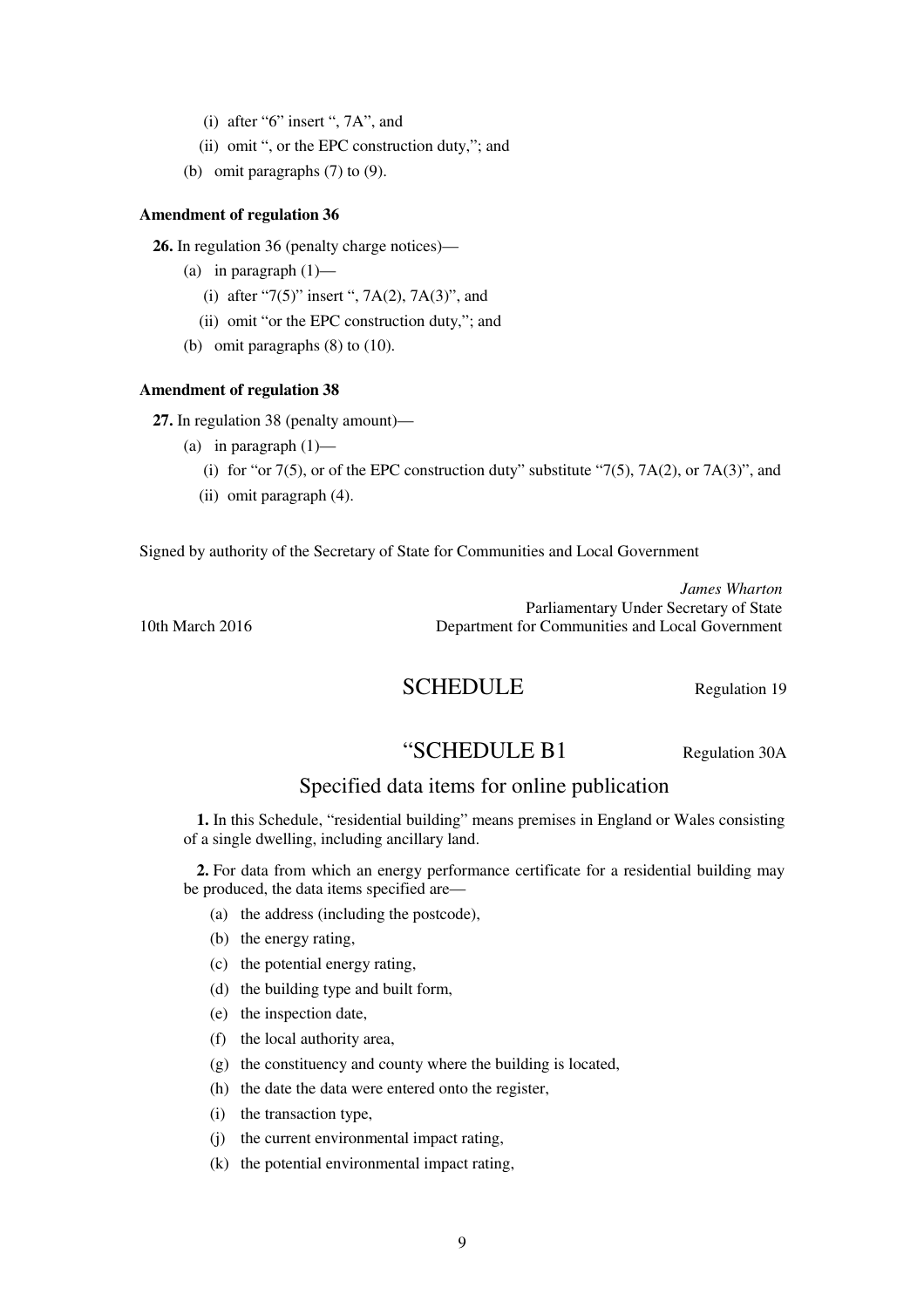- (i) after "6" insert ", 7A", and
- (ii) omit ", or the EPC construction duty,"; and
- (b) omit paragraphs (7) to (9).

## **Amendment of regulation 36**

**26.** In regulation 36 (penalty charge notices)—

- (a) in paragraph  $(1)$ 
	- (i) after "7(5)" insert ", 7A(2), 7A(3)", and
	- (ii) omit "or the EPC construction duty,"; and
- (b) omit paragraphs (8) to (10).

## **Amendment of regulation 38**

**27.** In regulation 38 (penalty amount)—

- (a) in paragraph  $(1)$ 
	- (i) for "or 7(5), or of the EPC construction duty" substitute "7(5), 7A(2), or 7A(3)", and
	- (ii) omit paragraph (4).

Signed by authority of the Secretary of State for Communities and Local Government

*James Wharton* Parliamentary Under Secretary of State 10th March 2016 Department for Communities and Local Government

SCHEDULE Regulation 19

# "SCHEDULE B1 Regulation 30A

# Specified data items for online publication

**1.** In this Schedule, "residential building" means premises in England or Wales consisting of a single dwelling, including ancillary land.

**2.** For data from which an energy performance certificate for a residential building may be produced, the data items specified are—

- (a) the address (including the postcode),
- (b) the energy rating,
- (c) the potential energy rating,
- (d) the building type and built form,
- (e) the inspection date,
- (f) the local authority area,
- (g) the constituency and county where the building is located,
- (h) the date the data were entered onto the register,
- (i) the transaction type,
- (j) the current environmental impact rating,
- (k) the potential environmental impact rating,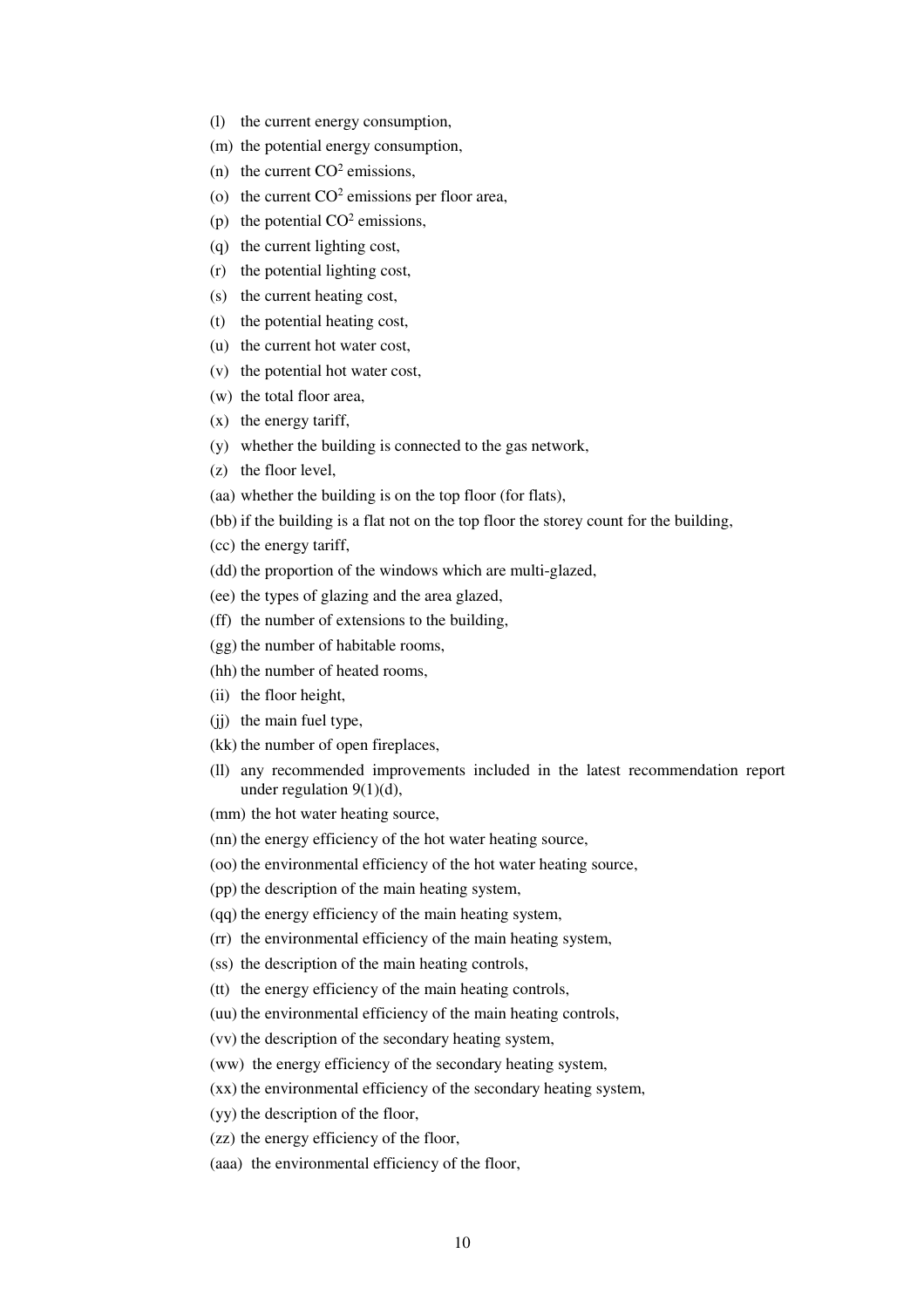- (l) the current energy consumption,
- (m) the potential energy consumption,
- (n) the current  $CO<sup>2</sup>$  emissions,
- (o) the current  $CO<sup>2</sup>$  emissions per floor area,
- (p) the potential  $CO<sup>2</sup>$  emissions,
- (q) the current lighting cost,
- (r) the potential lighting cost,
- (s) the current heating cost,
- (t) the potential heating cost,
- (u) the current hot water cost,
- (v) the potential hot water cost,
- (w) the total floor area,
- (x) the energy tariff,
- (y) whether the building is connected to the gas network,
- (z) the floor level,
- (aa) whether the building is on the top floor (for flats),
- (bb) if the building is a flat not on the top floor the storey count for the building,
- (cc) the energy tariff,
- (dd) the proportion of the windows which are multi-glazed,
- (ee) the types of glazing and the area glazed,
- (ff) the number of extensions to the building,
- (gg) the number of habitable rooms,
- (hh) the number of heated rooms,
- (ii) the floor height,
- (ii) the main fuel type,
- (kk) the number of open fireplaces,
- (ll) any recommended improvements included in the latest recommendation report under regulation 9(1)(d),
- (mm) the hot water heating source,
- (nn) the energy efficiency of the hot water heating source,
- (oo) the environmental efficiency of the hot water heating source,
- (pp) the description of the main heating system,
- (qq) the energy efficiency of the main heating system,
- (rr) the environmental efficiency of the main heating system,
- (ss) the description of the main heating controls,
- (tt) the energy efficiency of the main heating controls,
- (uu) the environmental efficiency of the main heating controls,
- (vv) the description of the secondary heating system,
- (ww) the energy efficiency of the secondary heating system,
- (xx) the environmental efficiency of the secondary heating system,
- (yy) the description of the floor,
- (zz) the energy efficiency of the floor,
- (aaa) the environmental efficiency of the floor,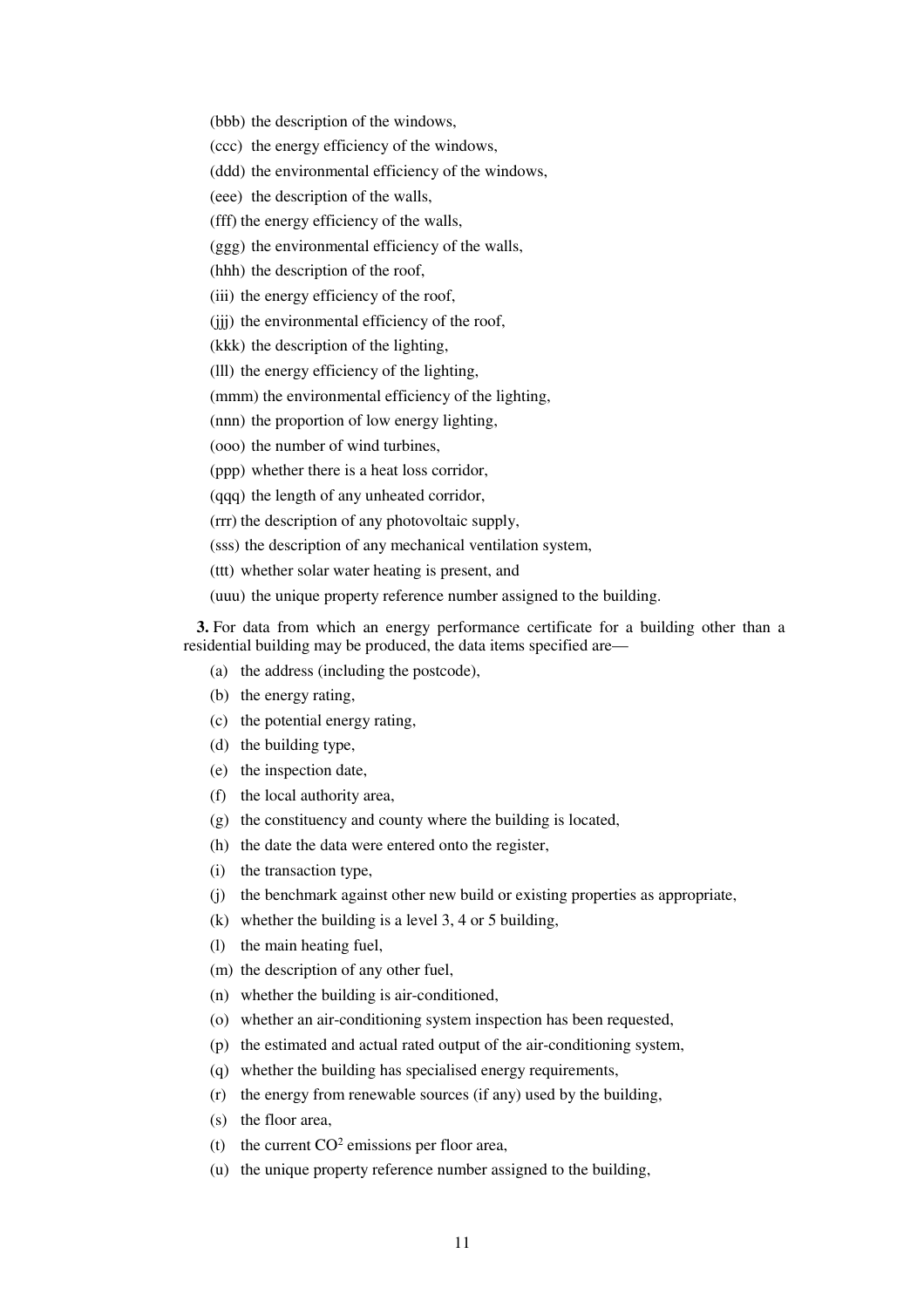- (bbb) the description of the windows,
- (ccc) the energy efficiency of the windows,
- (ddd) the environmental efficiency of the windows,
- (eee) the description of the walls,
- (fff) the energy efficiency of the walls,
- (ggg) the environmental efficiency of the walls,
- (hhh) the description of the roof,
- (iii) the energy efficiency of the roof,
- (jjj) the environmental efficiency of the roof,
- (kkk) the description of the lighting,
- (lll) the energy efficiency of the lighting,
- (mmm) the environmental efficiency of the lighting,
- (nnn) the proportion of low energy lighting,
- (ooo) the number of wind turbines,
- (ppp) whether there is a heat loss corridor,
- (qqq) the length of any unheated corridor,
- (rrr) the description of any photovoltaic supply,
- (sss) the description of any mechanical ventilation system,
- (ttt) whether solar water heating is present, and
- (uuu) the unique property reference number assigned to the building.

**3.** For data from which an energy performance certificate for a building other than a residential building may be produced, the data items specified are—

- (a) the address (including the postcode),
- (b) the energy rating,
- (c) the potential energy rating,
- (d) the building type,
- (e) the inspection date,
- (f) the local authority area,
- (g) the constituency and county where the building is located,
- (h) the date the data were entered onto the register,
- (i) the transaction type,
- (j) the benchmark against other new build or existing properties as appropriate,
- (k) whether the building is a level 3, 4 or 5 building,
- (l) the main heating fuel,
- (m) the description of any other fuel,
- (n) whether the building is air-conditioned,
- (o) whether an air-conditioning system inspection has been requested,
- (p) the estimated and actual rated output of the air-conditioning system,
- (q) whether the building has specialised energy requirements,
- (r) the energy from renewable sources (if any) used by the building,
- (s) the floor area,
- (t) the current  $CO<sup>2</sup>$  emissions per floor area,
- (u) the unique property reference number assigned to the building,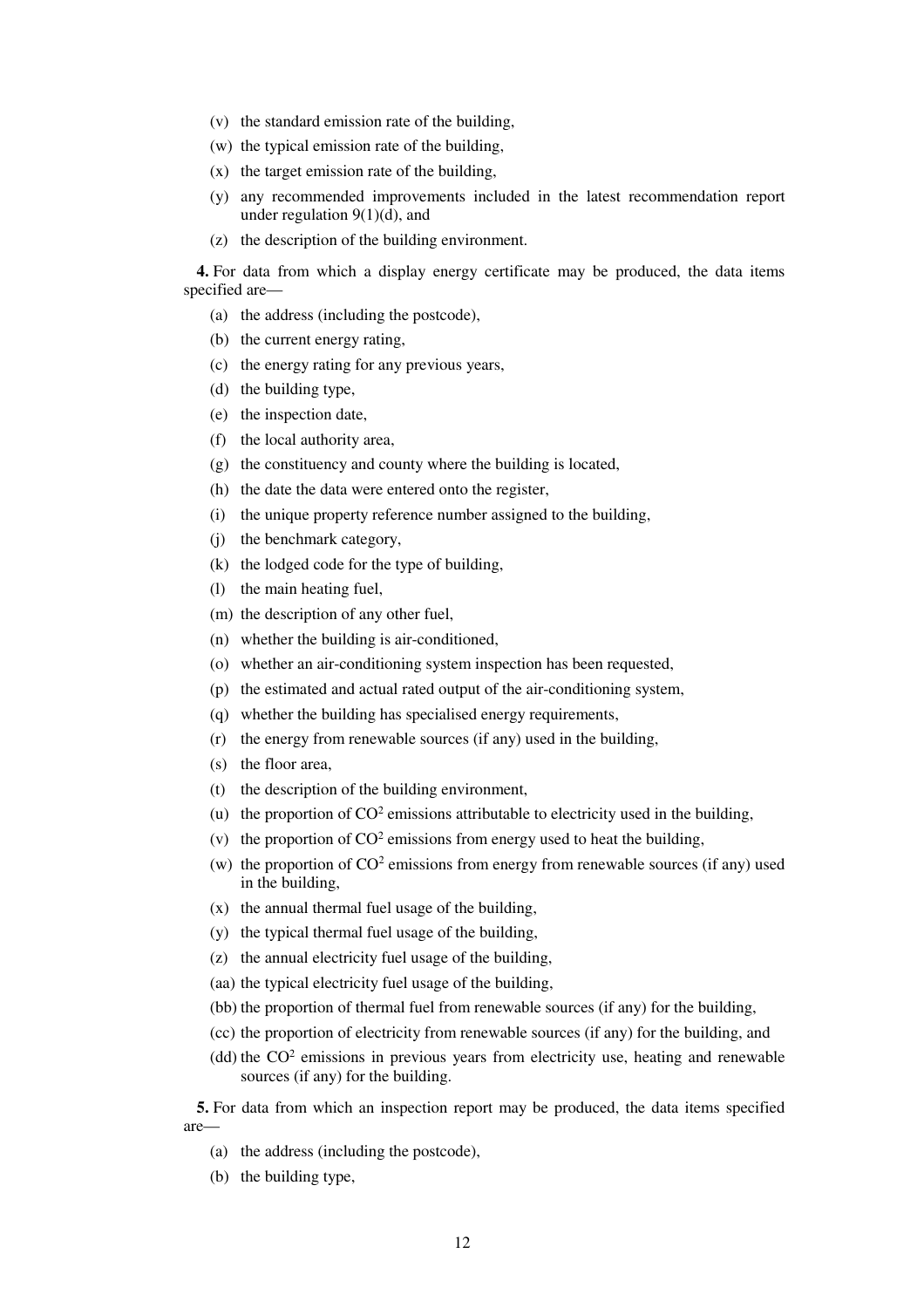- (v) the standard emission rate of the building,
- (w) the typical emission rate of the building,
- (x) the target emission rate of the building,
- (y) any recommended improvements included in the latest recommendation report under regulation  $9(1)(d)$ , and
- (z) the description of the building environment.

**4.** For data from which a display energy certificate may be produced, the data items specified are—

- (a) the address (including the postcode),
- (b) the current energy rating,
- (c) the energy rating for any previous years,
- (d) the building type,
- (e) the inspection date,
- (f) the local authority area,
- (g) the constituency and county where the building is located,
- (h) the date the data were entered onto the register,
- (i) the unique property reference number assigned to the building,
- (j) the benchmark category,
- (k) the lodged code for the type of building,
- (l) the main heating fuel,
- (m) the description of any other fuel,
- (n) whether the building is air-conditioned,
- (o) whether an air-conditioning system inspection has been requested,
- (p) the estimated and actual rated output of the air-conditioning system,
- (q) whether the building has specialised energy requirements,
- (r) the energy from renewable sources (if any) used in the building,
- (s) the floor area,
- (t) the description of the building environment,
- (u) the proportion of  $CO<sup>2</sup>$  emissions attributable to electricity used in the building,
- (v) the proportion of  $CO<sup>2</sup>$  emissions from energy used to heat the building,
- (w) the proportion of  $CO<sup>2</sup>$  emissions from energy from renewable sources (if any) used in the building,
- (x) the annual thermal fuel usage of the building,
- (y) the typical thermal fuel usage of the building,
- (z) the annual electricity fuel usage of the building,
- (aa) the typical electricity fuel usage of the building,
- (bb) the proportion of thermal fuel from renewable sources (if any) for the building,
- (cc) the proportion of electricity from renewable sources (if any) for the building, and
- $(dd)$  the  $CO<sup>2</sup>$  emissions in previous years from electricity use, heating and renewable sources (if any) for the building.

**5.** For data from which an inspection report may be produced, the data items specified are—

- (a) the address (including the postcode),
- (b) the building type,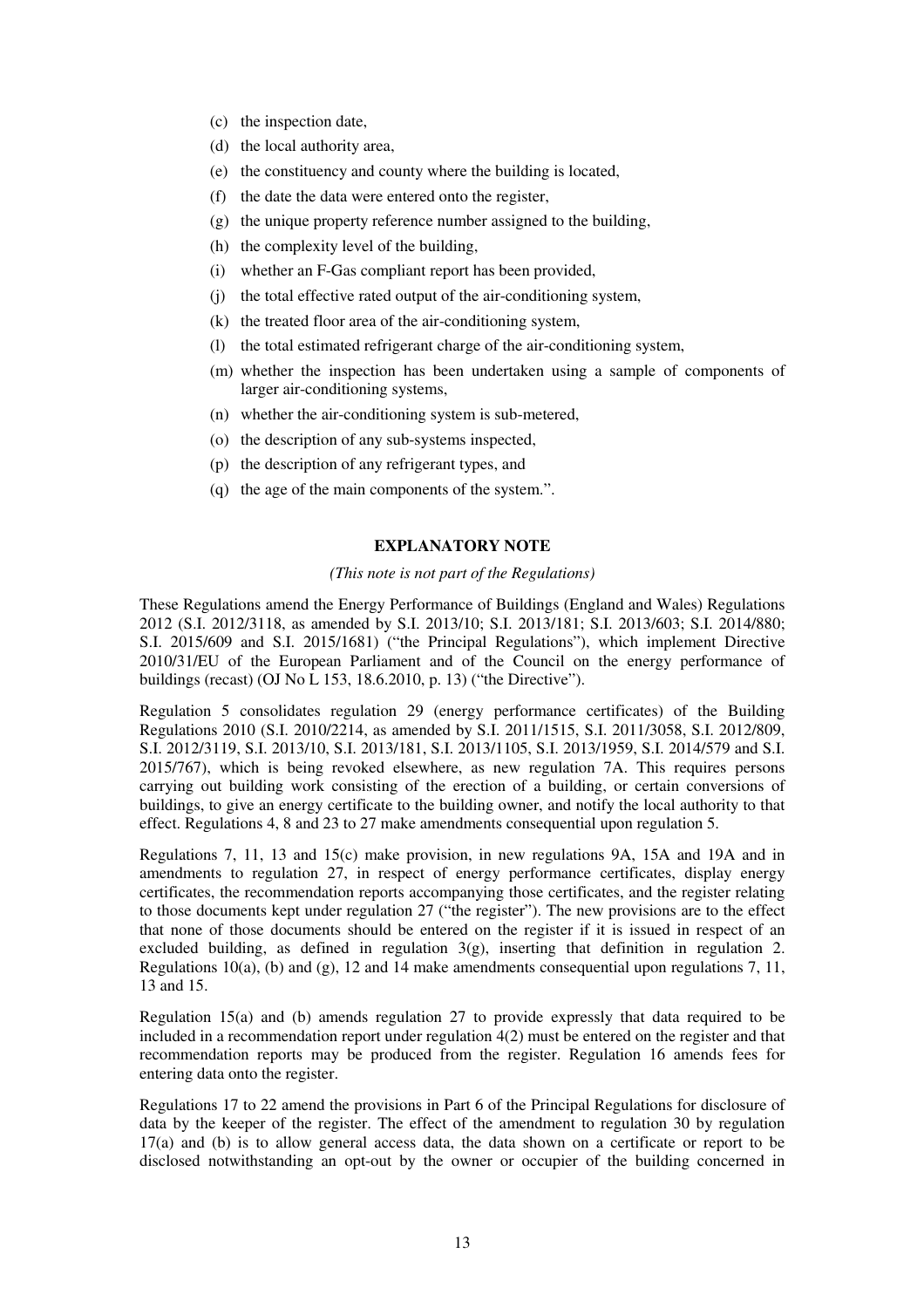- (c) the inspection date,
- (d) the local authority area,
- (e) the constituency and county where the building is located,
- (f) the date the data were entered onto the register,
- (g) the unique property reference number assigned to the building,
- (h) the complexity level of the building,
- (i) whether an F-Gas compliant report has been provided,
- (j) the total effective rated output of the air-conditioning system,
- (k) the treated floor area of the air-conditioning system,
- (l) the total estimated refrigerant charge of the air-conditioning system,
- (m) whether the inspection has been undertaken using a sample of components of larger air-conditioning systems,
- (n) whether the air-conditioning system is sub-metered,
- (o) the description of any sub-systems inspected,
- (p) the description of any refrigerant types, and
- (q) the age of the main components of the system.".

## **EXPLANATORY NOTE**

## *(This note is not part of the Regulations)*

These Regulations amend the Energy Performance of Buildings (England and Wales) Regulations 2012 (S.I. 2012/3118, as amended by S.I. 2013/10; S.I. 2013/181; S.I. 2013/603; S.I. 2014/880; S.I. 2015/609 and S.I. 2015/1681) ("the Principal Regulations"), which implement Directive 2010/31/EU of the European Parliament and of the Council on the energy performance of buildings (recast) (OJ No L 153, 18.6.2010, p. 13) ("the Directive").

Regulation 5 consolidates regulation 29 (energy performance certificates) of the Building Regulations 2010 (S.I. 2010/2214, as amended by S.I. 2011/1515, S.I. 2011/3058, S.I. 2012/809, S.I. 2012/3119, S.I. 2013/10, S.I. 2013/181, S.I. 2013/1105, S.I. 2013/1959, S.I. 2014/579 and S.I. 2015/767), which is being revoked elsewhere, as new regulation 7A. This requires persons carrying out building work consisting of the erection of a building, or certain conversions of buildings, to give an energy certificate to the building owner, and notify the local authority to that effect. Regulations 4, 8 and 23 to 27 make amendments consequential upon regulation 5.

Regulations 7, 11, 13 and 15(c) make provision, in new regulations 9A, 15A and 19A and in amendments to regulation 27, in respect of energy performance certificates, display energy certificates, the recommendation reports accompanying those certificates, and the register relating to those documents kept under regulation 27 ("the register"). The new provisions are to the effect that none of those documents should be entered on the register if it is issued in respect of an excluded building, as defined in regulation 3(g), inserting that definition in regulation 2. Regulations 10(a), (b) and (g), 12 and 14 make amendments consequential upon regulations 7, 11, 13 and 15.

Regulation 15(a) and (b) amends regulation 27 to provide expressly that data required to be included in a recommendation report under regulation 4(2) must be entered on the register and that recommendation reports may be produced from the register. Regulation 16 amends fees for entering data onto the register.

Regulations 17 to 22 amend the provisions in Part 6 of the Principal Regulations for disclosure of data by the keeper of the register. The effect of the amendment to regulation 30 by regulation 17(a) and (b) is to allow general access data, the data shown on a certificate or report to be disclosed notwithstanding an opt-out by the owner or occupier of the building concerned in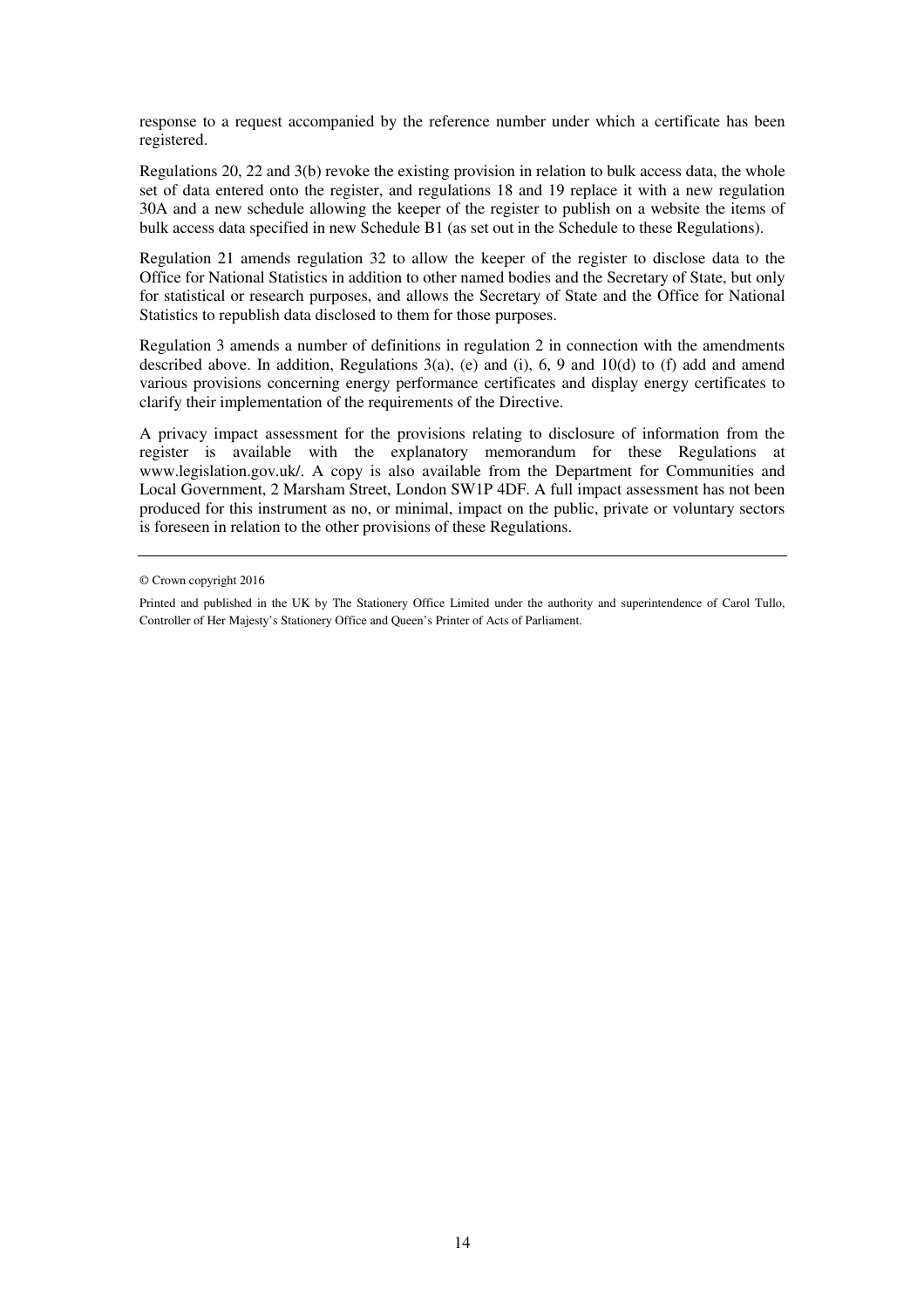response to a request accompanied by the reference number under which a certificate has been registered.

Regulations 20, 22 and 3(b) revoke the existing provision in relation to bulk access data, the whole set of data entered onto the register, and regulations 18 and 19 replace it with a new regulation 30A and a new schedule allowing the keeper of the register to publish on a website the items of bulk access data specified in new Schedule B1 (as set out in the Schedule to these Regulations).

Regulation 21 amends regulation 32 to allow the keeper of the register to disclose data to the Office for National Statistics in addition to other named bodies and the Secretary of State, but only for statistical or research purposes, and allows the Secretary of State and the Office for National Statistics to republish data disclosed to them for those purposes.

Regulation 3 amends a number of definitions in regulation 2 in connection with the amendments described above. In addition, Regulations  $3(a)$ , (e) and (i), 6, 9 and 10(d) to (f) add and amend various provisions concerning energy performance certificates and display energy certificates to clarify their implementation of the requirements of the Directive.

A privacy impact assessment for the provisions relating to disclosure of information from the register is available with the explanatory memorandum for these Regulations at www.legislation.gov.uk/. A copy is also available from the Department for Communities and Local Government, 2 Marsham Street, London SW1P 4DF. A full impact assessment has not been produced for this instrument as no, or minimal, impact on the public, private or voluntary sectors is foreseen in relation to the other provisions of these Regulations.

<sup>©</sup> Crown copyright 2016

Printed and published in the UK by The Stationery Office Limited under the authority and superintendence of Carol Tullo, Controller of Her Majesty's Stationery Office and Queen's Printer of Acts of Parliament.